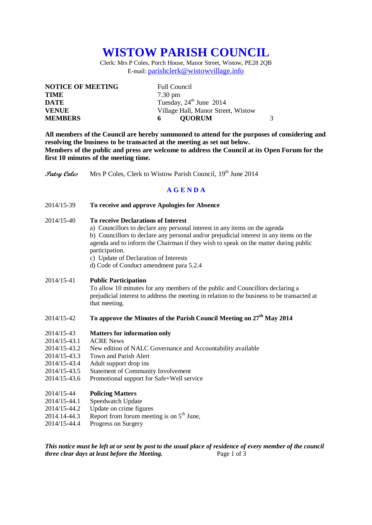# **WISTOW PARISH COUNCIL**

Clerk: Mrs P Coles, Porch House, Manor Street, Wistow, PE28 2QB E-mail: [parishclerk@wistowvillage.info](mailto:parishclerk@wistowvillage.info)

| <b>NOTICE OF MEETING</b> | <b>Full Council</b>                 |
|--------------------------|-------------------------------------|
| <b>TIME</b>              | $7.30 \text{ pm}$                   |
| <b>DATE</b>              | Tuesday, $24^{\text{th}}$ June 2014 |
| <b>VENUE</b>             | Village Hall, Manor Street, Wistow  |
| <b>MEMBERS</b>           | 3<br><b>OUORUM</b><br>6             |

**All members of the Council are hereby summoned to attend for the purposes of considering and resolving the business to be transacted at the meeting as set out below. Members of the public and press are welcome to address the Council at its Open Forum for the first 10 minutes of the meeting time.**

**Patsy Coles** Mrs P Coles, Clerk to Wistow Parish Council, 19<sup>th</sup> June 2014

### **A G E N D A**

- 2014/15-39 **To receive and approve Apologies for Absence**
- 2014/15-40 **To receive Declarations of Interest**
	- a) Councillors to declare any personal interest in any items on the agenda

b) Councillors to declare any personal and/or prejudicial interest in any items on the agenda and to inform the Chairman if they wish to speak on the matter during public participation.

- c) Update of Declaration of Interests
- d) Code of Conduct amendment para 5.2.4

## 2014/15-41 **Public Participation**

To allow 10 minutes for any members of the public and Councillors declaring a prejudicial interest to address the meeting in relation to the business to be transacted at that meeting.

# 2014/15-42 **To approve the Minutes of the Parish Council Meeting on 27th May 2014**

#### 2014/15-43 **Matters for information only**

- 2014/15-43.1 ACRE News
- 2014/15-43.2 New edition of NALC Governance and Accountability available
- 2014/15-43.3 Town and Parish Alert
- 2014/15-43.4 Adult support drop ins
- 2014/15-43.5 Statement of Community Involvement
- 2014/15-43.6 Promotional support for Safe+Well service

#### 2014/15-44 **Policing Matters**

- 2014/15-44.1 Speedwatch Update
- 2014/15-44.2 Update on crime figures
- 2014.14-44.3 Report from forum meeting is on  $5<sup>th</sup>$  June,
- 2014/15-44.4 Progress on Surgery

*This notice must be left at or sent by post to the usual place of residence of every member of the council three clear days at least before the Meeting.* Page 1 of 3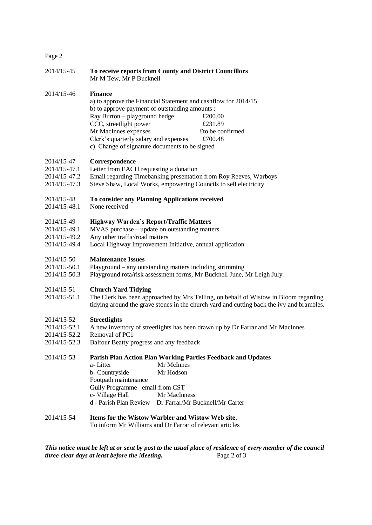# Page 2

| 2014/15-45                                                 | To receive reports from County and District Councillors<br>Mr M Tew, Mr P Bucknell                                                                                                                                                                                                                                                                                   |
|------------------------------------------------------------|----------------------------------------------------------------------------------------------------------------------------------------------------------------------------------------------------------------------------------------------------------------------------------------------------------------------------------------------------------------------|
| 2014/15-46                                                 | <b>Finance</b><br>a) to approve the Financial Statement and cashflow for 2014/15<br>b) to approve payment of outstanding amounts :<br>Ray Burton - playground hedge<br>£200.00<br>CCC, streetlight power<br>£231.89<br>Mr MacInnes expenses<br>£to be confirmed<br>Clerk's quarterly salary and expenses<br>£700.48<br>c) Change of signature documents to be signed |
| 2014/15-47<br>2014/15-47.1<br>2014/15-47.2<br>2014/15-47.3 | Correspondence<br>Letter from EACH requesting a donation<br>Email regarding Timebanking presentation from Roy Reeves, Warboys<br>Steve Shaw, Local Works, empowering Councils to sell electricity                                                                                                                                                                    |
| 2014/15-48<br>2014/15-48.1                                 | To consider any Planning Applications received<br>None received                                                                                                                                                                                                                                                                                                      |
| 2014/15-49<br>2014/15-49.1<br>2014/15-49.2<br>2014/15-49.4 | <b>Highway Warden's Report/Traffic Matters</b><br>MVAS purchase – update on outstanding matters<br>Any other traffic/road matters<br>Local Highway Improvement Initiative, annual application                                                                                                                                                                        |
| 2014/15-50<br>2014/15-50.1<br>2014/15-50.3                 | <b>Maintenance Issues</b><br>Playground – any outstanding matters including strimming<br>Playground rota/risk assessment forms, Mr Bucknell June, Mr Leigh July.                                                                                                                                                                                                     |
| 2014/15-51<br>2014/15-51.1                                 | <b>Church Yard Tidying</b><br>The Clerk has been approached by Mrs Telling, on behalf of Wistow in Bloom regarding<br>tidying around the grave stones in the church yard and cutting back the ivy and brambles.                                                                                                                                                      |
| 2014/15-52<br>2014/15-52.1<br>2014/15-52.2<br>2014/15-52.3 | <b>Streetlights</b><br>A new inventory of streetlights has been drawn up by Dr Farrar and Mr MacInnes<br>Removal of PC1<br>Balfour Beatty progress and any feedback                                                                                                                                                                                                  |
| 2014/15-53                                                 | Parish Plan Action Plan Working Parties Feedback and Updates<br>Mr McInnes<br>a-Litter<br>Mr Hodson<br>b- Countryside<br>Footpath maintenance<br>Gully Programme-email from CST<br>c- Village Hall<br>Mr MacInness<br>d - Parish Plan Review - Dr Farrar/Mr Bucknell/Mr Carter                                                                                       |
| 2014/15-54                                                 | Items for the Wistow Warbler and Wistow Web site.<br>To inform Mr Williams and Dr Farrar of relevant articles                                                                                                                                                                                                                                                        |
|                                                            | This notice must be left at or sent by post to the usual place of residence of every member of the council                                                                                                                                                                                                                                                           |

*Fhis notice merger at a to the council* place 2 of 3 *this notice must be teft at or sent by post to a three clear days at least before the Meeting.*